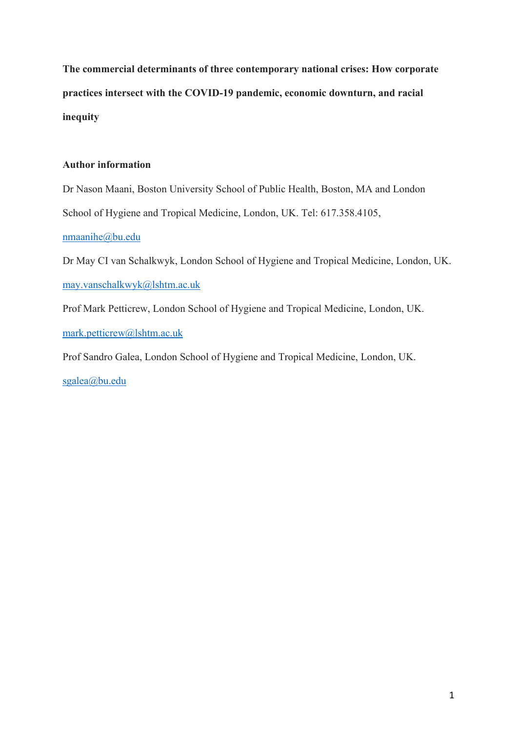**The commercial determinants of three contemporary national crises: How corporate practices intersect with the COVID-19 pandemic, economic downturn, and racial inequity** 

# **Author information**

Dr Nason Maani, Boston University School of Public Health, Boston, MA and London School of Hygiene and Tropical Medicine, London, UK. Tel: 617.358.4105,

## [nmaanihe@bu.edu](mailto:nmaanihe@bu.edu)

Dr May CI van Schalkwyk, London School of Hygiene and Tropical Medicine, London, UK. [may.vanschalkwyk@lshtm.ac.uk](mailto:may.vanschalkwyk@lshtm.ac.uk)

Prof Mark Petticrew, London School of Hygiene and Tropical Medicine, London, UK.

[mark.petticrew@lshtm.ac.uk](mailto:mark.petticrew@lshtm.ac.uk)

Prof Sandro Galea, London School of Hygiene and Tropical Medicine, London, UK.

[sgalea@bu.edu](mailto:sgalea@bu.edu)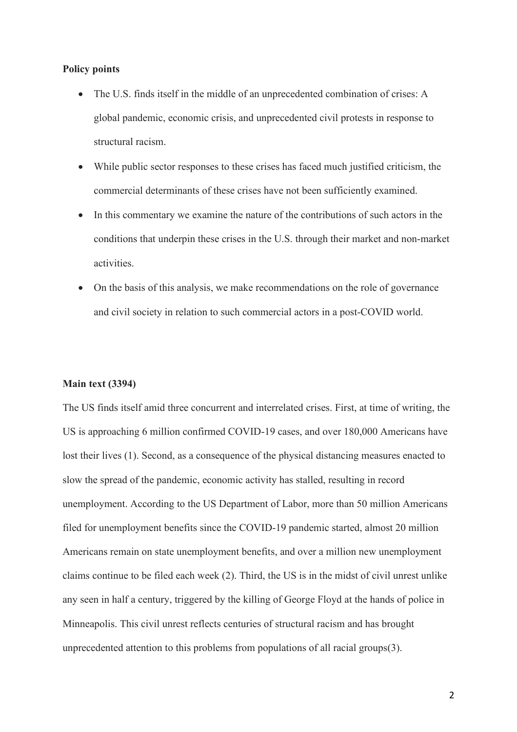### **Policy points**

- The U.S. finds itself in the middle of an unprecedented combination of crises: A global pandemic, economic crisis, and unprecedented civil protests in response to structural racism.
- While public sector responses to these crises has faced much justified criticism, the commercial determinants of these crises have not been sufficiently examined.
- In this commentary we examine the nature of the contributions of such actors in the conditions that underpin these crises in the U.S. through their market and non-market activities.
- On the basis of this analysis, we make recommendations on the role of governance and civil society in relation to such commercial actors in a post-COVID world.

### **Main text (3394)**

The US finds itself amid three concurrent and interrelated crises. First, at time of writing, the US is approaching 6 million confirmed COVID-19 cases, and over 180,000 Americans have lost their lives (1). Second, as a consequence of the physical distancing measures enacted to slow the spread of the pandemic, economic activity has stalled, resulting in record unemployment. According to the US Department of Labor, more than 50 million Americans filed for unemployment benefits since the COVID-19 pandemic started, almost 20 million Americans remain on state unemployment benefits, and over a million new unemployment claims continue to be filed each week (2). Third, the US is in the midst of civil unrest unlike any seen in half a century, triggered by the killing of George Floyd at the hands of police in Minneapolis. This civil unrest reflects centuries of structural racism and has brought unprecedented attention to this problems from populations of all racial groups(3).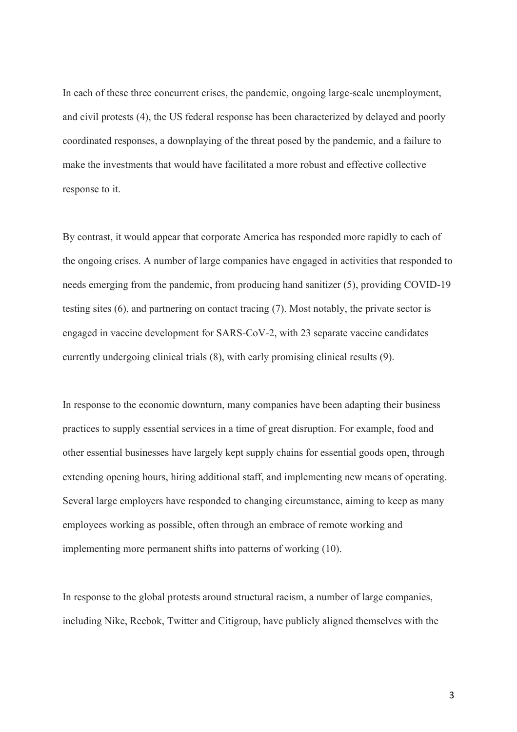In each of these three concurrent crises, the pandemic, ongoing large-scale unemployment, and civil protests (4), the US federal response has been characterized by delayed and poorly coordinated responses, a downplaying of the threat posed by the pandemic, and a failure to make the investments that would have facilitated a more robust and effective collective response to it.

By contrast, it would appear that corporate America has responded more rapidly to each of the ongoing crises. A number of large companies have engaged in activities that responded to needs emerging from the pandemic, from producing hand sanitizer (5), providing COVID-19 testing sites (6), and partnering on contact tracing (7). Most notably, the private sector is engaged in vaccine development for SARS-CoV-2, with 23 separate vaccine candidates currently undergoing clinical trials (8), with early promising clinical results (9).

In response to the economic downturn, many companies have been adapting their business practices to supply essential services in a time of great disruption. For example, food and other essential businesses have largely kept supply chains for essential goods open, through extending opening hours, hiring additional staff, and implementing new means of operating. Several large employers have responded to changing circumstance, aiming to keep as many employees working as possible, often through an embrace of remote working and implementing more permanent shifts into patterns of working (10).

In response to the global protests around structural racism, a number of large companies, including Nike, Reebok, Twitter and Citigroup, have publicly aligned themselves with the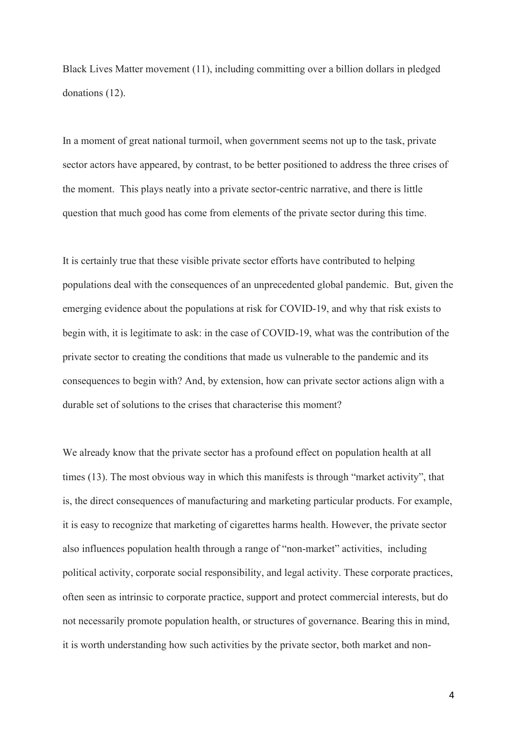Black Lives Matter movement (11), including committing over a billion dollars in pledged donations (12).

In a moment of great national turmoil, when government seems not up to the task, private sector actors have appeared, by contrast, to be better positioned to address the three crises of the moment. This plays neatly into a private sector-centric narrative, and there is little question that much good has come from elements of the private sector during this time.

It is certainly true that these visible private sector efforts have contributed to helping populations deal with the consequences of an unprecedented global pandemic. But, given the emerging evidence about the populations at risk for COVID-19, and why that risk exists to begin with, it is legitimate to ask: in the case of COVID-19, what was the contribution of the private sector to creating the conditions that made us vulnerable to the pandemic and its consequences to begin with? And, by extension, how can private sector actions align with a durable set of solutions to the crises that characterise this moment?

We already know that the private sector has a profound effect on population health at all times (13). The most obvious way in which this manifests is through "market activity", that is, the direct consequences of manufacturing and marketing particular products. For example, it is easy to recognize that marketing of cigarettes harms health. However, the private sector also influences population health through a range of "non-market" activities, including political activity, corporate social responsibility, and legal activity. These corporate practices, often seen as intrinsic to corporate practice, support and protect commercial interests, but do not necessarily promote population health, or structures of governance. Bearing this in mind, it is worth understanding how such activities by the private sector, both market and non-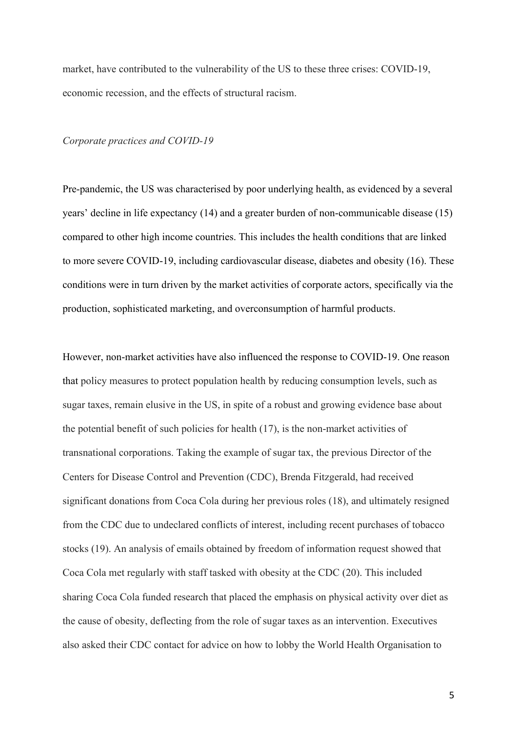market, have contributed to the vulnerability of the US to these three crises: COVID-19, economic recession, and the effects of structural racism.

### *Corporate practices and COVID-19*

Pre-pandemic, the US was characterised by poor underlying health, as evidenced by a several years' decline in life expectancy (14) and a greater burden of non-communicable disease (15) compared to other high income countries. This includes the health conditions that are linked to more severe COVID-19, including cardiovascular disease, diabetes and obesity (16). These conditions were in turn driven by the market activities of corporate actors, specifically via the production, sophisticated marketing, and overconsumption of harmful products.

However, non-market activities have also influenced the response to COVID-19. One reason that policy measures to protect population health by reducing consumption levels, such as sugar taxes, remain elusive in the US, in spite of a robust and growing evidence base about the potential benefit of such policies for health (17), is the non-market activities of transnational corporations. Taking the example of sugar tax, the previous Director of the Centers for Disease Control and Prevention (CDC), Brenda Fitzgerald, had received significant donations from Coca Cola during her previous roles (18), and ultimately resigned from the CDC due to undeclared conflicts of interest, including recent purchases of tobacco stocks (19). An analysis of emails obtained by freedom of information request showed that Coca Cola met regularly with staff tasked with obesity at the CDC (20). This included sharing Coca Cola funded research that placed the emphasis on physical activity over diet as the cause of obesity, deflecting from the role of sugar taxes as an intervention. Executives also asked their CDC contact for advice on how to lobby the World Health Organisation to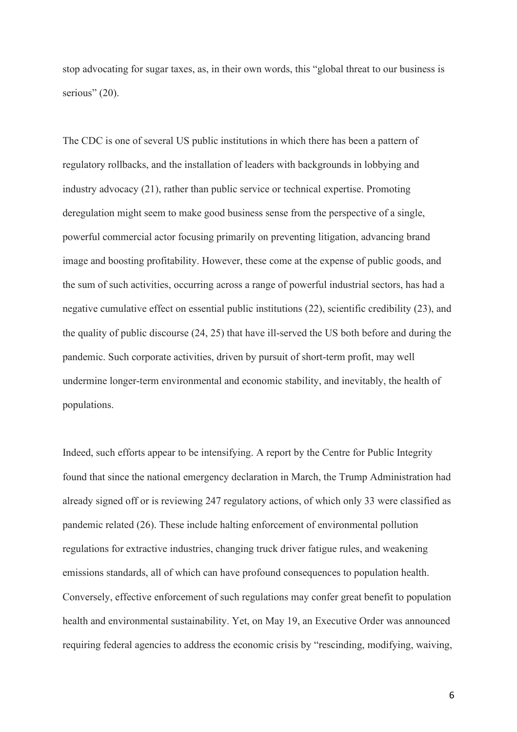stop advocating for sugar taxes, as, in their own words, this "global threat to our business is serious" (20).

The CDC is one of several US public institutions in which there has been a pattern of regulatory rollbacks, and the installation of leaders with backgrounds in lobbying and industry advocacy (21), rather than public service or technical expertise. Promoting deregulation might seem to make good business sense from the perspective of a single, powerful commercial actor focusing primarily on preventing litigation, advancing brand image and boosting profitability. However, these come at the expense of public goods, and the sum of such activities, occurring across a range of powerful industrial sectors, has had a negative cumulative effect on essential public institutions (22), scientific credibility (23), and the quality of public discourse (24, 25) that have ill-served the US both before and during the pandemic. Such corporate activities, driven by pursuit of short-term profit, may well undermine longer-term environmental and economic stability, and inevitably, the health of populations.

Indeed, such efforts appear to be intensifying. A report by the Centre for Public Integrity found that since the national emergency declaration in March, the Trump Administration had already signed off or is reviewing 247 regulatory actions, of which only 33 were classified as pandemic related (26). These include halting enforcement of environmental pollution regulations for extractive industries, changing truck driver fatigue rules, and weakening emissions standards, all of which can have profound consequences to population health. Conversely, effective enforcement of such regulations may confer great benefit to population health and environmental sustainability. Yet, on May 19, an Executive Order was announced requiring federal agencies to address the economic crisis by "rescinding, modifying, waiving,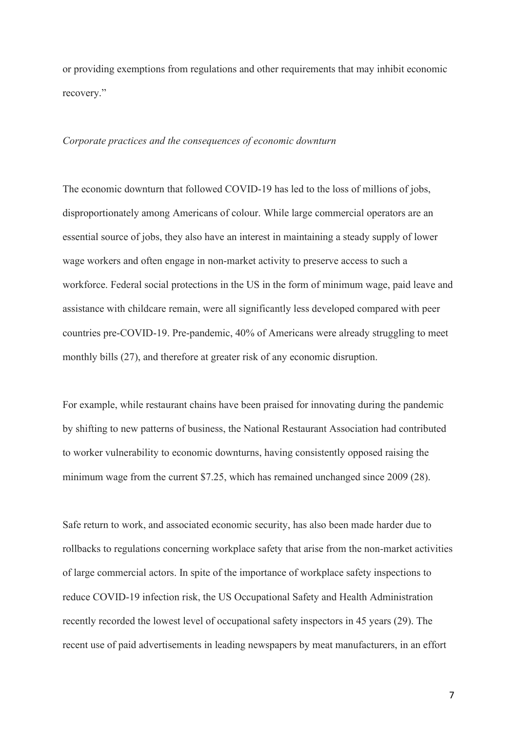or providing exemptions from regulations and other requirements that may inhibit economic recovery."

## *Corporate practices and the consequences of economic downturn*

The economic downturn that followed COVID-19 has led to the loss of millions of jobs, disproportionately among Americans of colour. While large commercial operators are an essential source of jobs, they also have an interest in maintaining a steady supply of lower wage workers and often engage in non-market activity to preserve access to such a workforce. Federal social protections in the US in the form of minimum wage, paid leave and assistance with childcare remain, were all significantly less developed compared with peer countries pre-COVID-19. Pre-pandemic, 40% of Americans were already struggling to meet monthly bills (27), and therefore at greater risk of any economic disruption.

For example, while restaurant chains have been praised for innovating during the pandemic by shifting to new patterns of business, the National Restaurant Association had contributed to worker vulnerability to economic downturns, having consistently opposed raising the minimum wage from the current \$7.25, which has remained unchanged since 2009 (28).

Safe return to work, and associated economic security, has also been made harder due to rollbacks to regulations concerning workplace safety that arise from the non-market activities of large commercial actors. In spite of the importance of workplace safety inspections to reduce COVID-19 infection risk, the US Occupational Safety and Health Administration recently recorded the lowest level of occupational safety inspectors in 45 years (29). The recent use of paid advertisements in leading newspapers by meat manufacturers, in an effort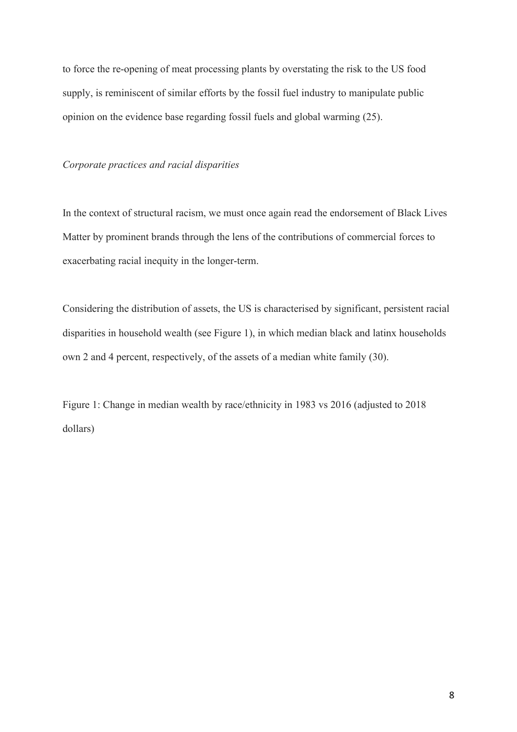to force the re-opening of meat processing plants by overstating the risk to the US food supply, is reminiscent of similar efforts by the fossil fuel industry to manipulate public opinion on the evidence base regarding fossil fuels and global warming (25).

#### *Corporate practices and racial disparities*

In the context of structural racism, we must once again read the endorsement of Black Lives Matter by prominent brands through the lens of the contributions of commercial forces to exacerbating racial inequity in the longer-term.

Considering the distribution of assets, the US is characterised by significant, persistent racial disparities in household wealth (see Figure 1), in which median black and latinx households own 2 and 4 percent, respectively, of the assets of a median white family (30).

Figure 1: Change in median wealth by race/ethnicity in 1983 vs 2016 (adjusted to 2018 dollars)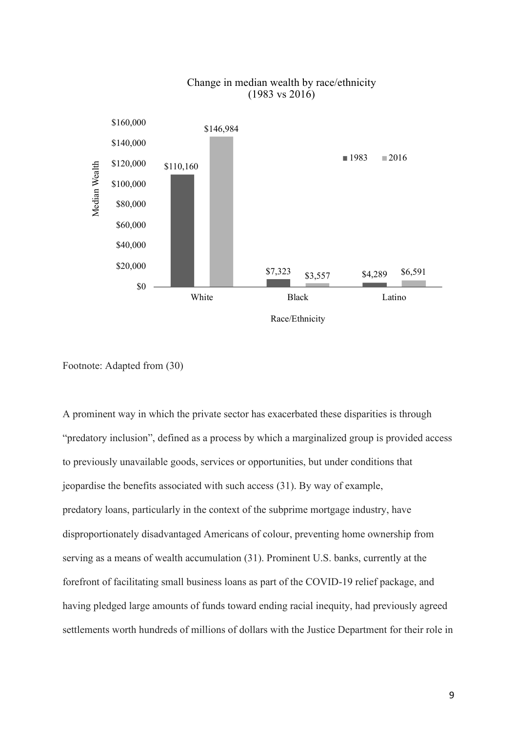

## Change in median wealth by race/ethnicity (1983 vs 2016)

Footnote: Adapted from (30)

A prominent way in which the private sector has exacerbated these disparities is through "predatory inclusion", defined as a process by which a marginalized group is provided access to previously unavailable goods, services or opportunities, but under conditions that jeopardise the benefits associated with such access (31). By way of example, predatory loans, particularly in the context of the subprime mortgage industry, have disproportionately disadvantaged Americans of colour, preventing home ownership from serving as a means of wealth accumulation (31). Prominent U.S. banks, currently at the forefront of facilitating small business loans as part of the COVID-19 relief package, and having pledged large amounts of funds toward ending racial inequity, had previously agreed settlements worth hundreds of millions of dollars with the Justice Department for their role in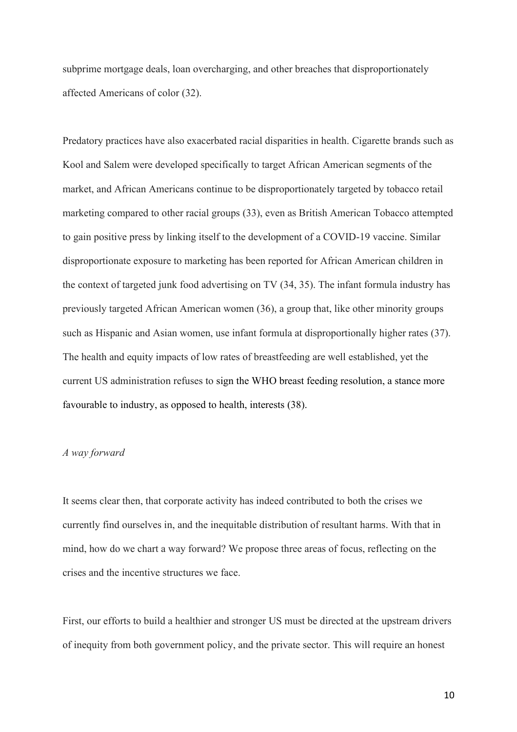subprime mortgage deals, loan overcharging, and other breaches that disproportionately affected Americans of color (32).

Predatory practices have also exacerbated racial disparities in health. Cigarette brands such as Kool and Salem were developed specifically to target African American segments of the market, and African Americans continue to be disproportionately targeted by tobacco retail marketing compared to other racial groups (33), even as British American Tobacco attempted to gain positive press by linking itself to the development of a COVID-19 vaccine. Similar disproportionate exposure to marketing has been reported for African American children in the context of targeted junk food advertising on TV (34, 35). The infant formula industry has previously targeted African American women (36), a group that, like other minority groups such as Hispanic and Asian women, use infant formula at disproportionally higher rates (37). The health and equity impacts of low rates of breastfeeding are well established, yet the current US administration refuses to sign the WHO breast feeding resolution, a stance more favourable to industry, as opposed to health, interests (38).

### *A way forward*

It seems clear then, that corporate activity has indeed contributed to both the crises we currently find ourselves in, and the inequitable distribution of resultant harms. With that in mind, how do we chart a way forward? We propose three areas of focus, reflecting on the crises and the incentive structures we face.

First, our efforts to build a healthier and stronger US must be directed at the upstream drivers of inequity from both government policy, and the private sector. This will require an honest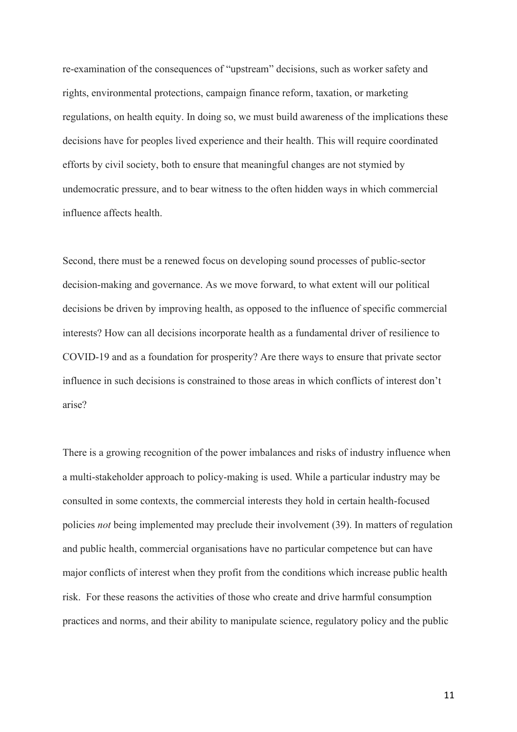re-examination of the consequences of "upstream" decisions, such as worker safety and rights, environmental protections, campaign finance reform, taxation, or marketing regulations, on health equity. In doing so, we must build awareness of the implications these decisions have for peoples lived experience and their health. This will require coordinated efforts by civil society, both to ensure that meaningful changes are not stymied by undemocratic pressure, and to bear witness to the often hidden ways in which commercial influence affects health.

Second, there must be a renewed focus on developing sound processes of public-sector decision-making and governance. As we move forward, to what extent will our political decisions be driven by improving health, as opposed to the influence of specific commercial interests? How can all decisions incorporate health as a fundamental driver of resilience to COVID-19 and as a foundation for prosperity? Are there ways to ensure that private sector influence in such decisions is constrained to those areas in which conflicts of interest don't arise?

There is a growing recognition of the power imbalances and risks of industry influence when a multi-stakeholder approach to policy-making is used. While a particular industry may be consulted in some contexts, the commercial interests they hold in certain health-focused policies *not* being implemented may preclude their involvement (39). In matters of regulation and public health, commercial organisations have no particular competence but can have major conflicts of interest when they profit from the conditions which increase public health risk. For these reasons the activities of those who create and drive harmful consumption practices and norms, and their ability to manipulate science, regulatory policy and the public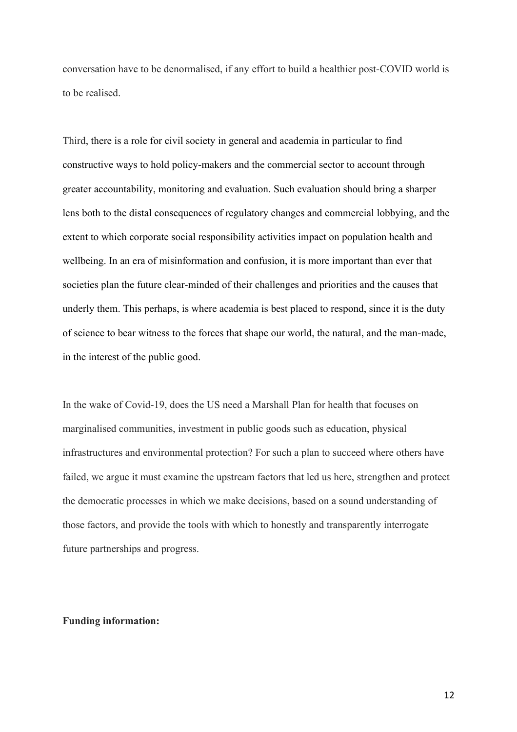conversation have to be denormalised, if any effort to build a healthier post-COVID world is to be realised.

Third, there is a role for civil society in general and academia in particular to find constructive ways to hold policy-makers and the commercial sector to account through greater accountability, monitoring and evaluation. Such evaluation should bring a sharper lens both to the distal consequences of regulatory changes and commercial lobbying, and the extent to which corporate social responsibility activities impact on population health and wellbeing. In an era of misinformation and confusion, it is more important than ever that societies plan the future clear-minded of their challenges and priorities and the causes that underly them. This perhaps, is where academia is best placed to respond, since it is the duty of science to bear witness to the forces that shape our world, the natural, and the man-made, in the interest of the public good.

In the wake of Covid-19, does the US need a Marshall Plan for health that focuses on marginalised communities, investment in public goods such as education, physical infrastructures and environmental protection? For such a plan to succeed where others have failed, we argue it must examine the upstream factors that led us here, strengthen and protect the democratic processes in which we make decisions, based on a sound understanding of those factors, and provide the tools with which to honestly and transparently interrogate future partnerships and progress.

### **Funding information:**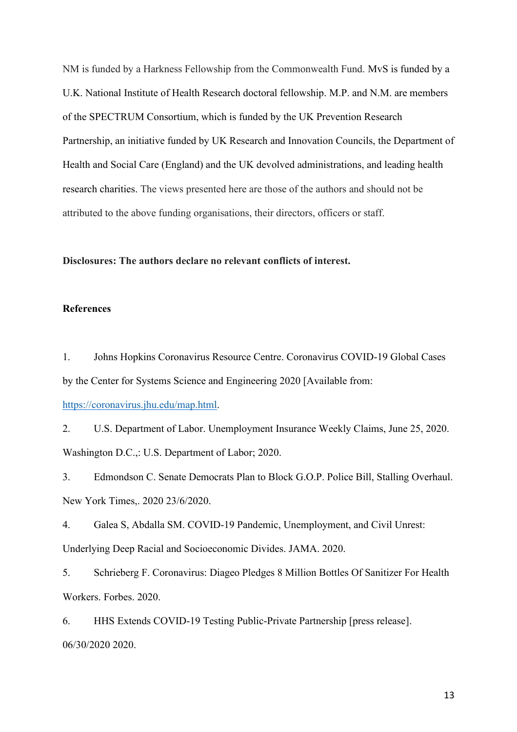NM is funded by a Harkness Fellowship from the Commonwealth Fund. MvS is funded by a U.K. National Institute of Health Research doctoral fellowship. M.P. and N.M. are members of the SPECTRUM Consortium, which is funded by the UK Prevention Research Partnership, an initiative funded by UK Research and Innovation Councils, the Department of Health and Social Care (England) and the UK devolved administrations, and leading health research charities. The views presented here are those of the authors and should not be attributed to the above funding organisations, their directors, officers or staff.

### **Disclosures: The authors declare no relevant conflicts of interest.**

### **References**

1. Johns Hopkins Coronavirus Resource Centre. Coronavirus COVID-19 Global Cases by the Center for Systems Science and Engineering 2020 [Available from: [https://coronavirus.jhu.edu/map.html.](https://coronavirus.jhu.edu/map.html)

2. U.S. Department of Labor. Unemployment Insurance Weekly Claims, June 25, 2020. Washington D.C.,: U.S. Department of Labor; 2020.

3. Edmondson C. Senate Democrats Plan to Block G.O.P. Police Bill, Stalling Overhaul. New York Times,. 2020 23/6/2020.

4. Galea S, Abdalla SM. COVID-19 Pandemic, Unemployment, and Civil Unrest: Underlying Deep Racial and Socioeconomic Divides. JAMA. 2020.

5. Schrieberg F. Coronavirus: Diageo Pledges 8 Million Bottles Of Sanitizer For Health Workers. Forbes. 2020.

6. HHS Extends COVID-19 Testing Public-Private Partnership [press release]. 06/30/2020 2020.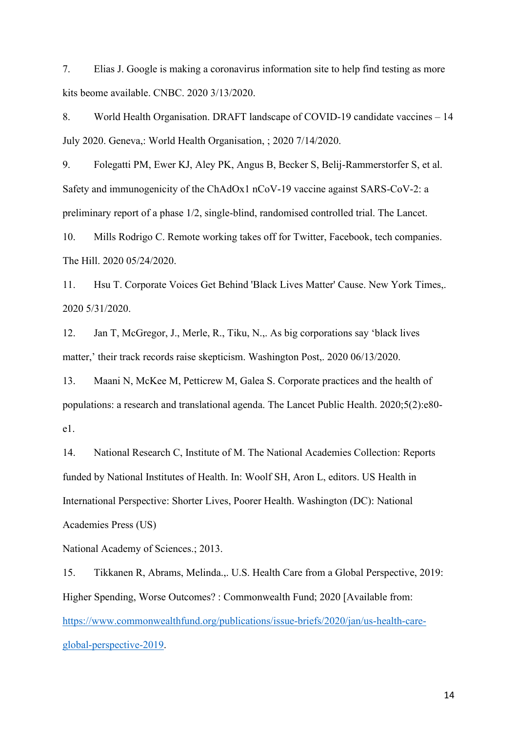7. Elias J. Google is making a coronavirus information site to help find testing as more kits beome available. CNBC. 2020 3/13/2020.

8. World Health Organisation. DRAFT landscape of COVID-19 candidate vaccines – 14 July 2020. Geneva,: World Health Organisation, ; 2020 7/14/2020.

9. Folegatti PM, Ewer KJ, Aley PK, Angus B, Becker S, Belij-Rammerstorfer S, et al. Safety and immunogenicity of the ChAdOx1 nCoV-19 vaccine against SARS-CoV-2: a preliminary report of a phase 1/2, single-blind, randomised controlled trial. The Lancet.

10. Mills Rodrigo C. Remote working takes off for Twitter, Facebook, tech companies. The Hill. 2020 05/24/2020.

11. Hsu T. Corporate Voices Get Behind 'Black Lives Matter' Cause. New York Times,. 2020 5/31/2020.

12. Jan T, McGregor, J., Merle, R., Tiku, N.,. As big corporations say 'black lives matter,' their track records raise skepticism. Washington Post,. 2020 06/13/2020.

13. Maani N, McKee M, Petticrew M, Galea S. Corporate practices and the health of populations: a research and translational agenda. The Lancet Public Health. 2020;5(2):e80 e1.

14. National Research C, Institute of M. The National Academies Collection: Reports funded by National Institutes of Health. In: Woolf SH, Aron L, editors. US Health in International Perspective: Shorter Lives, Poorer Health. Washington (DC): National Academies Press (US)

National Academy of Sciences.; 2013.

15. Tikkanen R, Abrams, Melinda.,. U.S. Health Care from a Global Perspective, 2019: Higher Spending, Worse Outcomes? : Commonwealth Fund; 2020 [Available from: [https://www.commonwealthfund.org/publications/issue-briefs/2020/jan/us-health-care](https://www.commonwealthfund.org/publications/issue-briefs/2020/jan/us-health-care-global-perspective-2019)[global-perspective-2019.](https://www.commonwealthfund.org/publications/issue-briefs/2020/jan/us-health-care-global-perspective-2019)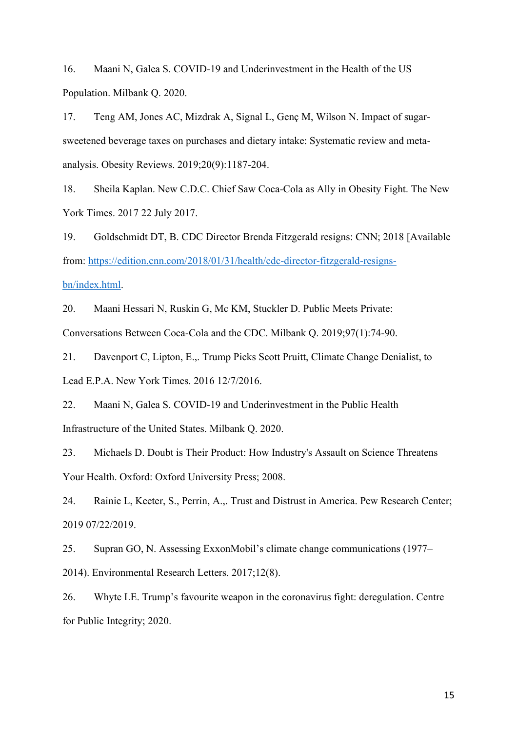16. Maani N, Galea S. COVID-19 and Underinvestment in the Health of the US Population. Milbank Q. 2020.

17. Teng AM, Jones AC, Mizdrak A, Signal L, Genç M, Wilson N. Impact of sugarsweetened beverage taxes on purchases and dietary intake: Systematic review and metaanalysis. Obesity Reviews. 2019;20(9):1187-204.

18. Sheila Kaplan. New C.D.C. Chief Saw Coca-Cola as Ally in Obesity Fight. The New York Times. 2017 22 July 2017.

19. Goldschmidt DT, B. CDC Director Brenda Fitzgerald resigns: CNN; 2018 [Available from: [https://edition.cnn.com/2018/01/31/health/cdc-director-fitzgerald-resigns](https://edition.cnn.com/2018/01/31/health/cdc-director-fitzgerald-resigns-bn/index.html)[bn/index.html.](https://edition.cnn.com/2018/01/31/health/cdc-director-fitzgerald-resigns-bn/index.html)

20. Maani Hessari N, Ruskin G, Mc KM, Stuckler D. Public Meets Private: Conversations Between Coca-Cola and the CDC. Milbank Q. 2019;97(1):74-90.

21. Davenport C, Lipton, E.,. Trump Picks Scott Pruitt, Climate Change Denialist, to Lead E.P.A. New York Times. 2016 12/7/2016.

22. Maani N, Galea S. COVID-19 and Underinvestment in the Public Health Infrastructure of the United States. Milbank Q. 2020.

23. Michaels D. Doubt is Their Product: How Industry's Assault on Science Threatens Your Health. Oxford: Oxford University Press; 2008.

24. Rainie L, Keeter, S., Perrin, A.,. Trust and Distrust in America. Pew Research Center; 2019 07/22/2019.

25. Supran GO, N. Assessing ExxonMobil's climate change communications (1977–

2014). Environmental Research Letters. 2017;12(8).

26. Whyte LE. Trump's favourite weapon in the coronavirus fight: deregulation. Centre for Public Integrity; 2020.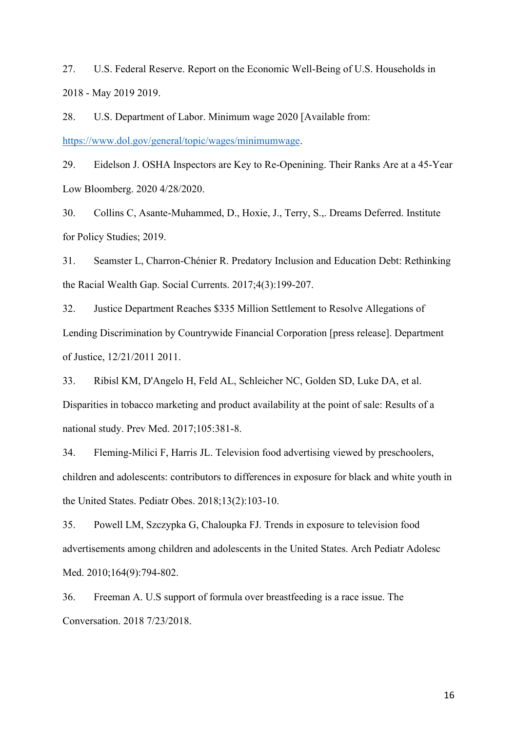27. U.S. Federal Reserve. Report on the Economic Well-Being of U.S. Households in 2018 - May 2019 2019.

28. U.S. Department of Labor. Minimum wage 2020 [Available from: [https://www.dol.gov/general/topic/wages/minimumwage.](https://www.dol.gov/general/topic/wages/minimumwage)

29. Eidelson J. OSHA Inspectors are Key to Re-Openining. Their Ranks Are at a 45-Year Low Bloomberg. 2020 4/28/2020.

30. Collins C, Asante-Muhammed, D., Hoxie, J., Terry, S.,. Dreams Deferred. Institute for Policy Studies; 2019.

31. Seamster L, Charron-Chénier R. Predatory Inclusion and Education Debt: Rethinking the Racial Wealth Gap. Social Currents. 2017;4(3):199-207.

32. Justice Department Reaches \$335 Million Settlement to Resolve Allegations of Lending Discrimination by Countrywide Financial Corporation [press release]. Department of Justice, 12/21/2011 2011.

33. Ribisl KM, D'Angelo H, Feld AL, Schleicher NC, Golden SD, Luke DA, et al. Disparities in tobacco marketing and product availability at the point of sale: Results of a national study. Prev Med. 2017;105:381-8.

34. Fleming-Milici F, Harris JL. Television food advertising viewed by preschoolers, children and adolescents: contributors to differences in exposure for black and white youth in the United States. Pediatr Obes. 2018;13(2):103-10.

35. Powell LM, Szczypka G, Chaloupka FJ. Trends in exposure to television food advertisements among children and adolescents in the United States. Arch Pediatr Adolesc Med. 2010;164(9):794-802.

36. Freeman A. U.S support of formula over breastfeeding is a race issue. The Conversation. 2018 7/23/2018.